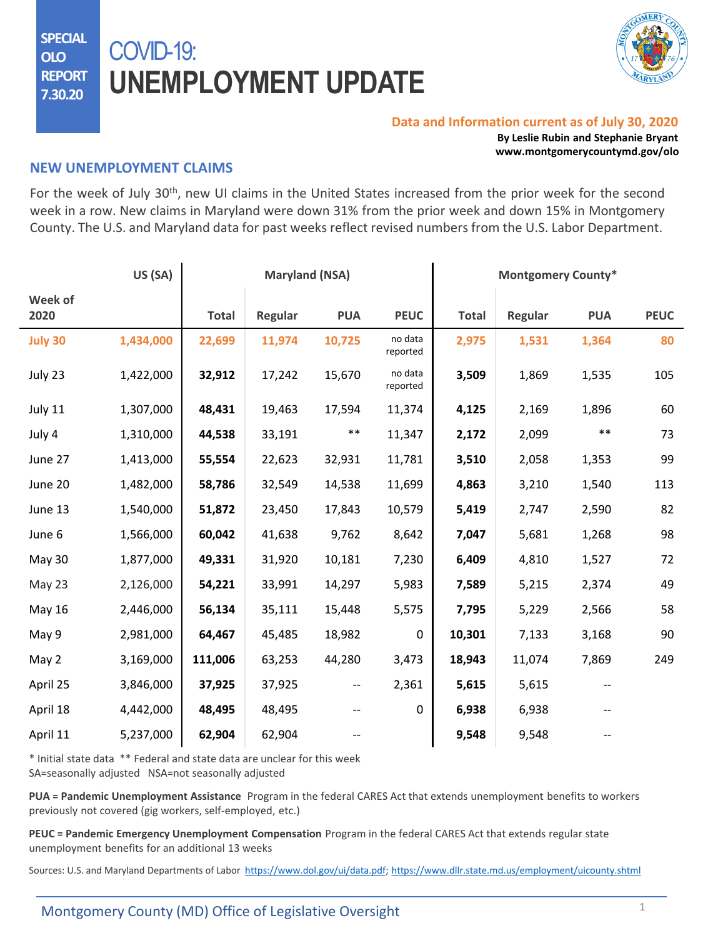**SPECIAL OLO REPORT 7.30.20**

# COVID-19: **UNEMPLOYMENT UPDATE**



#### **Data and Information current as of July 30, 2020**

**By Leslie Rubin and Stephanie Bryant www.montgomerycountymd.gov/olo**

### **NEW UNEMPLOYMENT CLAIMS**

For the week of July 30<sup>th</sup>, new UI claims in the United States increased from the prior week for the second week in a row. New claims in Maryland were down 31% from the prior week and down 15% in Montgomery County. The U.S. and Maryland data for past weeks reflect revised numbers from the U.S. Labor Department.

|                 | US (SA)   | <b>Maryland (NSA)</b> |         |                          |                     | <b>Montgomery County*</b> |         |            |             |
|-----------------|-----------|-----------------------|---------|--------------------------|---------------------|---------------------------|---------|------------|-------------|
| Week of<br>2020 |           | <b>Total</b>          | Regular | <b>PUA</b>               | <b>PEUC</b>         | <b>Total</b>              | Regular | <b>PUA</b> | <b>PEUC</b> |
| <b>July 30</b>  | 1,434,000 | 22,699                | 11,974  | 10,725                   | no data<br>reported | 2,975                     | 1,531   | 1,364      | 80          |
| July 23         | 1,422,000 | 32,912                | 17,242  | 15,670                   | no data<br>reported | 3,509                     | 1,869   | 1,535      | 105         |
| July 11         | 1,307,000 | 48,431                | 19,463  | 17,594                   | 11,374              | 4,125                     | 2,169   | 1,896      | 60          |
| July 4          | 1,310,000 | 44,538                | 33,191  | $***$                    | 11,347              | 2,172                     | 2,099   | $***$      | 73          |
| June 27         | 1,413,000 | 55,554                | 22,623  | 32,931                   | 11,781              | 3,510                     | 2,058   | 1,353      | 99          |
| June 20         | 1,482,000 | 58,786                | 32,549  | 14,538                   | 11,699              | 4,863                     | 3,210   | 1,540      | 113         |
| June 13         | 1,540,000 | 51,872                | 23,450  | 17,843                   | 10,579              | 5,419                     | 2,747   | 2,590      | 82          |
| June 6          | 1,566,000 | 60,042                | 41,638  | 9,762                    | 8,642               | 7,047                     | 5,681   | 1,268      | 98          |
| May 30          | 1,877,000 | 49,331                | 31,920  | 10,181                   | 7,230               | 6,409                     | 4,810   | 1,527      | 72          |
| May 23          | 2,126,000 | 54,221                | 33,991  | 14,297                   | 5,983               | 7,589                     | 5,215   | 2,374      | 49          |
| <b>May 16</b>   | 2,446,000 | 56,134                | 35,111  | 15,448                   | 5,575               | 7,795                     | 5,229   | 2,566      | 58          |
| May 9           | 2,981,000 | 64,467                | 45,485  | 18,982                   | $\mathbf 0$         | 10,301                    | 7,133   | 3,168      | 90          |
| May 2           | 3,169,000 | 111,006               | 63,253  | 44,280                   | 3,473               | 18,943                    | 11,074  | 7,869      | 249         |
| April 25        | 3,846,000 | 37,925                | 37,925  | $\overline{\phantom{a}}$ | 2,361               | 5,615                     | 5,615   |            |             |
| April 18        | 4,442,000 | 48,495                | 48,495  |                          | 0                   | 6,938                     | 6,938   |            |             |
| April 11        | 5,237,000 | 62,904                | 62,904  |                          |                     | 9,548                     | 9,548   |            |             |

\* Initial state data \*\* Federal and state data are unclear for this week SA=seasonally adjusted NSA=not seasonally adjusted

**PUA = Pandemic Unemployment Assistance** Program in the federal CARES Act that extends unemployment benefits to workers previously not covered (gig workers, self-employed, etc.)

**PEUC = Pandemic Emergency Unemployment Compensation** Program in the federal CARES Act that extends regular state unemployment benefits for an additional 13 weeks

Sources: U.S. and Maryland Departments of Labor <https://www.dol.gov/ui/data.pdf>; <https://www.dllr.state.md.us/employment/uicounty.shtml>